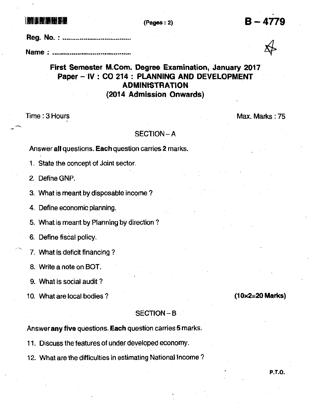## lffililtiltft (Pas€s:2)

B-4779

Reg. No. : .........................

Name : .....,........,

# First Semester M.Com. Degree Examination, January 2017 Paper - lV : CO 214 : PLANNING AND DEVELOPMENT **ADMINISTRATION** (2014 Admission Onwards)

Time : 3 Hours Max. Marks : 75

### SECTION\_A

### Answer all questions. Each question carries 2 marks.

1. State the concept of Joint sector.

2. Define GNP.

3. What is meant by disposable income ?

4. Define economic planning.

5. What is meant by Planning by direction ?

6. Define fiscal policy.

7. What is deficit financing?

8. Write a note on BOT.

9. What is social audit?

10. What are local bodies ? (10x2=20 Marks)

### SECTION-B

Answer any five questions. Each question carries 5 marks.

11. Discuss the features of under developed economy.

12. What are the difficulties in estimating National Income?